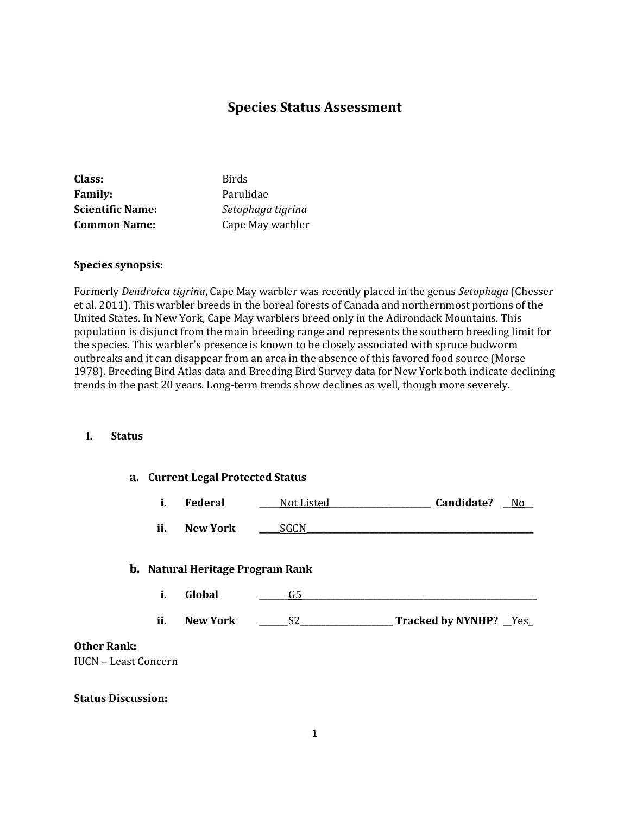# **Species Status Assessment**

| Class:                  | <b>Birds</b>      |
|-------------------------|-------------------|
| <b>Family:</b>          | Parulidae         |
| <b>Scientific Name:</b> | Setophaga tigrina |
| <b>Common Name:</b>     | Cape May warbler  |

#### **Species synopsis:**

Formerly *Dendroica tigrina*, Cape May warbler was recently placed in the genus *Setophaga* (Chesser et al. 2011). This warbler breeds in the boreal forests of Canada and northernmost portions of the United States. In New York, Cape May warblers breed only in the Adirondack Mountains. This population is disjunct from the main breeding range and represents the southern breeding limit for the species. This warbler's presence is known to be closely associated with spruce budworm outbreaks and it can disappear from an area in the absence of this favored food source (Morse 1978). Breeding Bird Atlas data and Breeding Bird Survey data for New York both indicate declining trends in the past 20 years. Long-term trends show declines as well, though more severely.

### **I. Status**

|                 | a. Current Legal Protected Status |                                                   |                |                              |
|-----------------|-----------------------------------|---------------------------------------------------|----------------|------------------------------|
|                 | i.                                | Federal                                           | Not Listed     | Candidate?<br>N <sub>0</sub> |
|                 | ii.                               | <b>New York</b>                                   | SGCN.          |                              |
|                 | i.                                | <b>b.</b> Natural Heritage Program Rank<br>Global | G5             |                              |
|                 | ii.                               | <b>New York</b>                                   | S <sub>2</sub> | Tracked by NYNHP? Yes        |
| $n\mathbf{k}$ : | raat Congoun                      |                                                   |                |                              |

# **Other Ra**

IUCN – Least Concern

#### **Status Discussion:**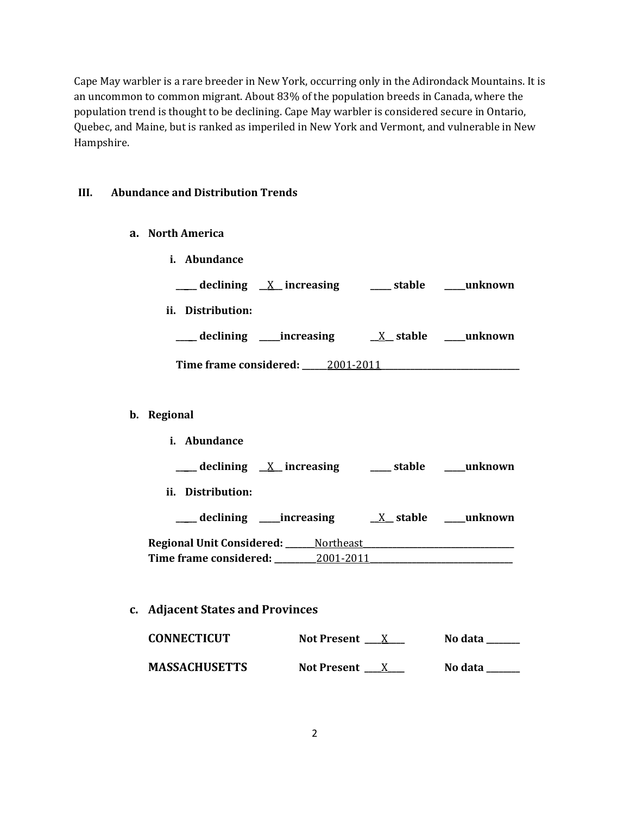Cape May warbler is a rare breeder in New York, occurring only in the Adirondack Mountains. It is an uncommon to common migrant. About 83% of the population breeds in Canada, where the population trend is thought to be declining. Cape May warbler is considered secure in Ontario, Quebec, and Maine, but is ranked as imperiled in New York and Vermont, and vulnerable in New Hampshire.

## **III. Abundance and Distribution Trends**

| а. | <b>North America</b> |
|----|----------------------|
|    |                      |

- **i. Abundance \_\_\_\_\_ declining \_\_**X**\_\_ increasing \_\_\_\_\_ stable \_\_\_\_\_unknown ii. Distribution: \_\_\_\_\_ declining \_\_\_\_\_increasing \_\_**X**\_\_ stable \_\_\_\_\_unknown Time frame considered: \_\_\_\_\_\_**2001-2011**\_\_\_\_\_\_\_\_\_\_\_\_\_\_\_\_\_\_\_\_\_\_\_\_\_\_\_\_\_\_\_\_\_ b. Regional i. Abundance**
	- **\_\_\_\_\_ declining \_\_**X**\_\_ increasing \_\_\_\_\_ stable \_\_\_\_\_unknown ii. Distribution: \_\_\_\_\_ declining \_\_\_\_\_increasing \_\_**X**\_\_ stable \_\_\_\_\_unknown Regional Unit Considered: \_\_\_\_\_\_\_**Northeast**\_\_\_\_\_\_\_\_\_\_\_\_\_\_\_\_\_\_\_\_\_\_\_\_\_\_\_\_\_\_\_\_\_\_\_\_ Time frame considered: \_\_\_\_\_\_\_\_\_\_**2001-2011**\_\_\_\_\_\_\_\_\_\_\_\_\_\_\_\_\_\_\_\_\_\_\_\_\_\_\_\_\_\_\_\_\_\_**

## **c. Adjacent States and Provinces**

| <b>CONNECTICUT</b>   | Not Present $\_\ X$ | No data |
|----------------------|---------------------|---------|
| <b>MASSACHUSETTS</b> | Not Present $X$     | No data |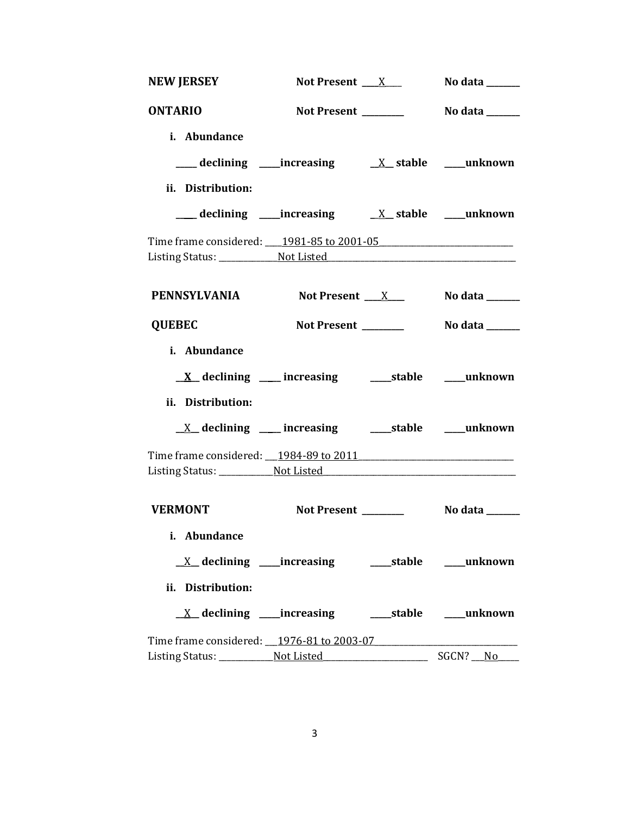| <b>NEW JERSEY</b>                         | Not Present $\_\_X$                                                 |  | No data $\_\_$ |
|-------------------------------------------|---------------------------------------------------------------------|--|----------------|
| <b>ONTARIO</b>                            |                                                                     |  |                |
| i. Abundance                              |                                                                     |  |                |
|                                           |                                                                     |  |                |
| ii. Distribution:                         |                                                                     |  |                |
|                                           | ___ declining ____ increasing ____ __ ___ ___ stable ____ unknown   |  |                |
| Time frame considered: 1981-85 to 2001-05 |                                                                     |  |                |
| <b>PENNSYLVANIA</b>                       | Not Present $X_{\text{max}}$                                        |  | No data $\_\_$ |
| <b>QUEBEC</b>                             | Not Present ______                                                  |  | No data ______ |
| i. Abundance                              |                                                                     |  |                |
|                                           | $\underline{X}$ declining ___ increasing ______stable ______unknown |  |                |
| ii. Distribution:                         |                                                                     |  |                |
|                                           | <u>X</u> declining ____ increasing _____ stable ____ unknown        |  |                |
|                                           |                                                                     |  |                |
| <b>VERMONT</b>                            | Not Present _______                                                 |  | No data ______ |
| i. Abundance                              |                                                                     |  |                |
|                                           | <u>X</u> declining ____increasing ______stable ____unknown          |  |                |
| ii. Distribution:                         |                                                                     |  |                |
|                                           |                                                                     |  |                |
| Time frame considered: 1976-81 to 2003-07 |                                                                     |  |                |
|                                           |                                                                     |  |                |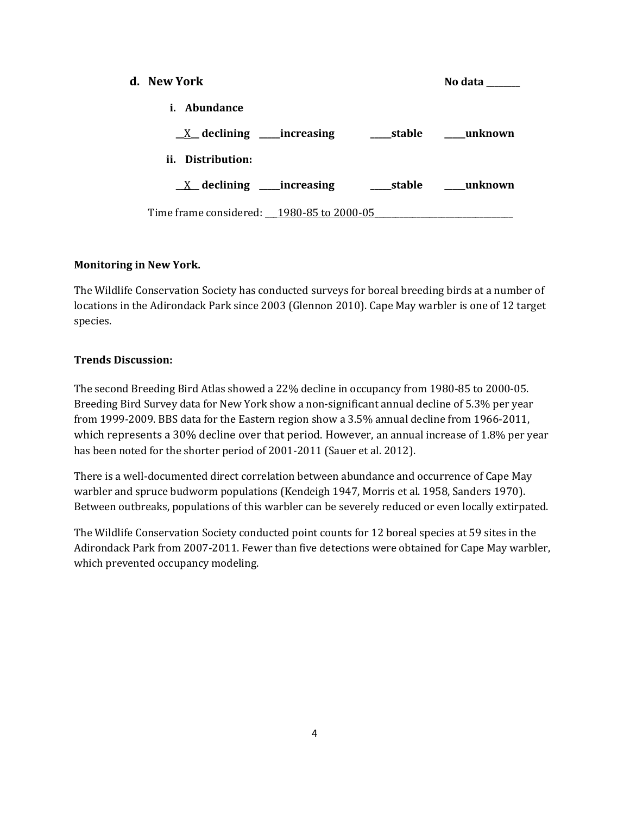| d. New York                               |            | No data    |
|-------------------------------------------|------------|------------|
| <i>i.</i> Abundance                       |            |            |
| $X$ declining _____increasing             | stable     | unknown    |
| ii. Distribution:                         |            |            |
| $X$ declining _____increasing             | ____stable | ___unknown |
| Time frame considered: 1980-85 to 2000-05 |            |            |

## **Monitoring in New York.**

The Wildlife Conservation Society has conducted surveys for boreal breeding birds at a number of locations in the Adirondack Park since 2003 (Glennon 2010). Cape May warbler is one of 12 target species.

## **Trends Discussion:**

The second Breeding Bird Atlas showed a 22% decline in occupancy from 1980-85 to 2000-05. Breeding Bird Survey data for New York show a non-significant annual decline of 5.3% per year from 1999-2009. BBS data for the Eastern region show a 3.5% annual decline from 1966-2011, which represents a 30% decline over that period. However, an annual increase of 1.8% per year has been noted for the shorter period of 2001-2011 (Sauer et al. 2012).

There is a well-documented direct correlation between abundance and occurrence of Cape May warbler and spruce budworm populations (Kendeigh 1947, Morris et al. 1958, Sanders 1970). Between outbreaks, populations of this warbler can be severely reduced or even locally extirpated.

The Wildlife Conservation Society conducted point counts for 12 boreal species at 59 sites in the Adirondack Park from 2007-2011. Fewer than five detections were obtained for Cape May warbler, which prevented occupancy modeling.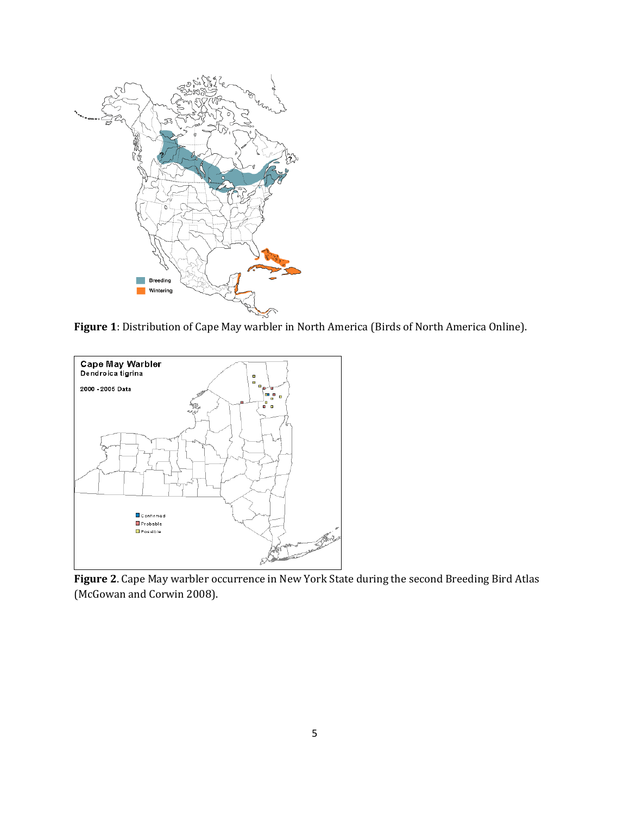

**Figure 1**: Distribution of Cape May warbler in North America (Birds of North America Online).



**Figure 2**. Cape May warbler occurrence in New York State during the second Breeding Bird Atlas (McGowan and Corwin 2008).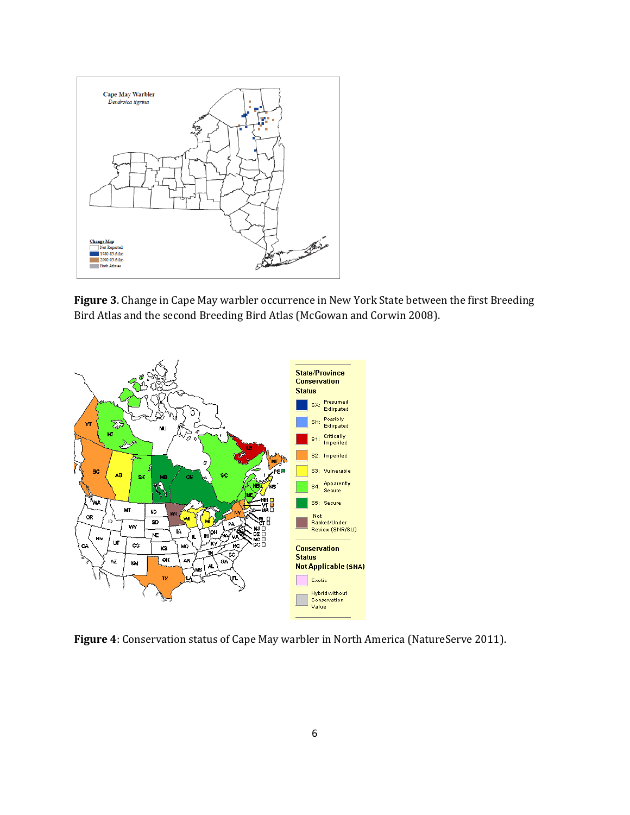

**Figure 3**. Change in Cape May warbler occurrence in New York State between the first Breeding Bird Atlas and the second Breeding Bird Atlas (McGowan and Corwin 2008).



**Figure 4**: Conservation status of Cape May warbler in North America (NatureServe 2011).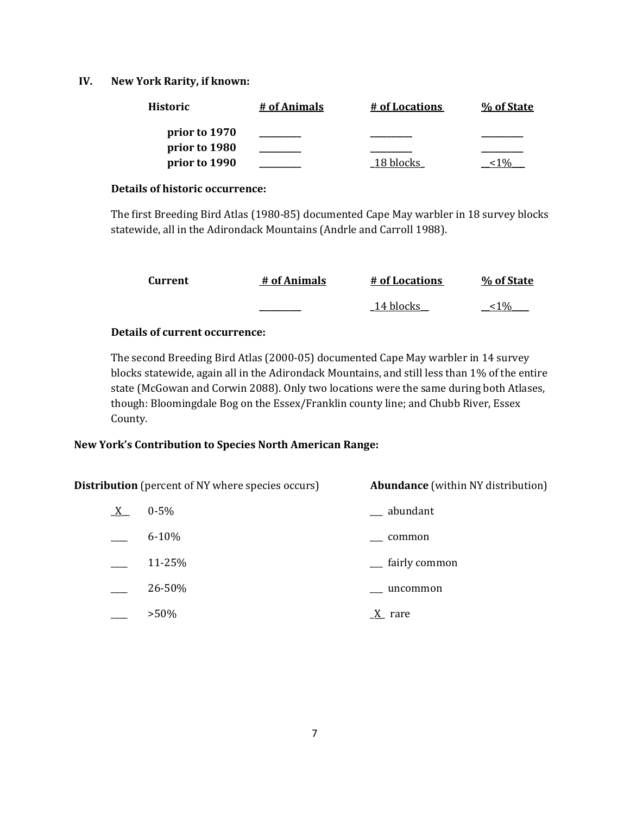## **IV. New York Rarity, if known:**

| <b>Historic</b> | # of Animals | # of Locations | % of State |
|-----------------|--------------|----------------|------------|
| prior to 1970   |              |                |            |
| prior to 1980   |              |                |            |
| prior to 1990   |              | 18 blocks      |            |

#### **Details of historic occurrence:**

The first Breeding Bird Atlas (1980-85) documented Cape May warbler in 18 survey blocks statewide, all in the Adirondack Mountains (Andrle and Carroll 1988).

| Current | # of Animals | # of Locations | % of State |
|---------|--------------|----------------|------------|
|         |              | 14 blocks      | $1\%$      |

## **Details of current occurrence:**

The second Breeding Bird Atlas (2000-05) documented Cape May warbler in 14 survey blocks statewide, again all in the Adirondack Mountains, and still less than 1% of the entire state (McGowan and Corwin 2088). Only two locations were the same during both Atlases, though: Bloomingdale Bog on the Essex/Franklin county line; and Chubb River, Essex County.

## **New York's Contribution to Species North American Range:**

| <b>Distribution</b> (percent of NY where species occurs) |           | <b>Abundance</b> (within NY distribution) |  |
|----------------------------------------------------------|-----------|-------------------------------------------|--|
| $X_{-}$                                                  | $0 - 5\%$ | abundant                                  |  |
|                                                          | $6 - 10%$ | common                                    |  |
|                                                          | 11-25%    | __ fairly common                          |  |
|                                                          | 26-50%    | uncommon                                  |  |
|                                                          | $>50\%$   | $\underline{X}$ rare                      |  |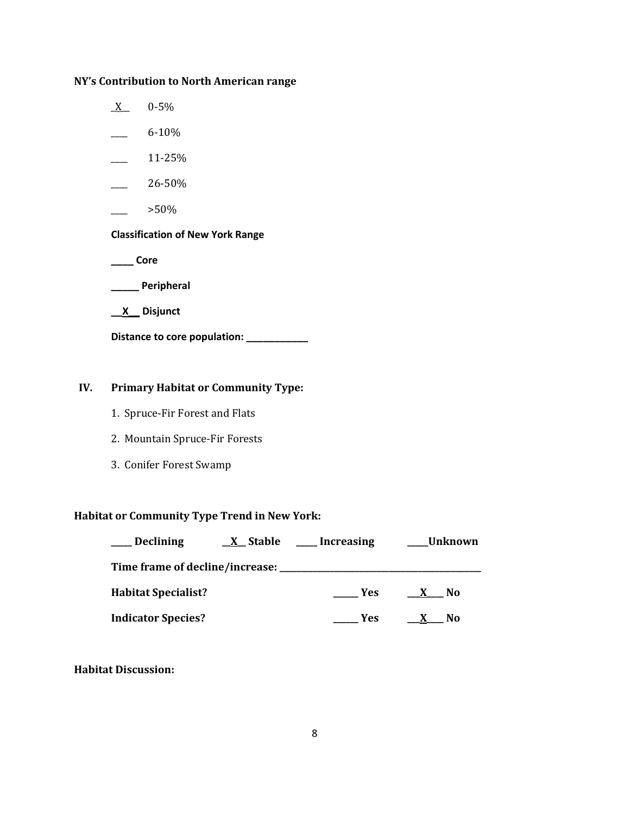# **NY's Contribution to North American range**

- $X$  0-5%
- $-6-10\%$
- $\frac{11-25\%}{ }$
- $-26-50%$
- $>50\%$

### **Classification of New York Range**

**\_\_\_\_ Core**

**\_\_\_\_\_ Peripheral**

**\_\_X\_\_ Disjunct**

**Distance to core population: \_\_\_\_\_\_\_\_\_\_\_**

# **IV. Primary Habitat or Community Type:**

- 1. Spruce-Fir Forest and Flats
- 2. Mountain Spruce-Fir Forests
- 3. Conifer Forest Swamp

## **Habitat or Community Type Trend in New York:**

| <b>Declining</b>                                | <u>X</u> Stable | <b>Increasing</b> | <b>Unknown</b>                 |
|-------------------------------------------------|-----------------|-------------------|--------------------------------|
| Time frame of decline/increase: _______________ |                 |                   |                                |
| <b>Habitat Specialist?</b>                      |                 | <b>Yes</b>        | N <sub>0</sub><br>$\mathbf{x}$ |
| <b>Indicator Species?</b>                       |                 | Yes               | No.                            |

**Habitat Discussion:**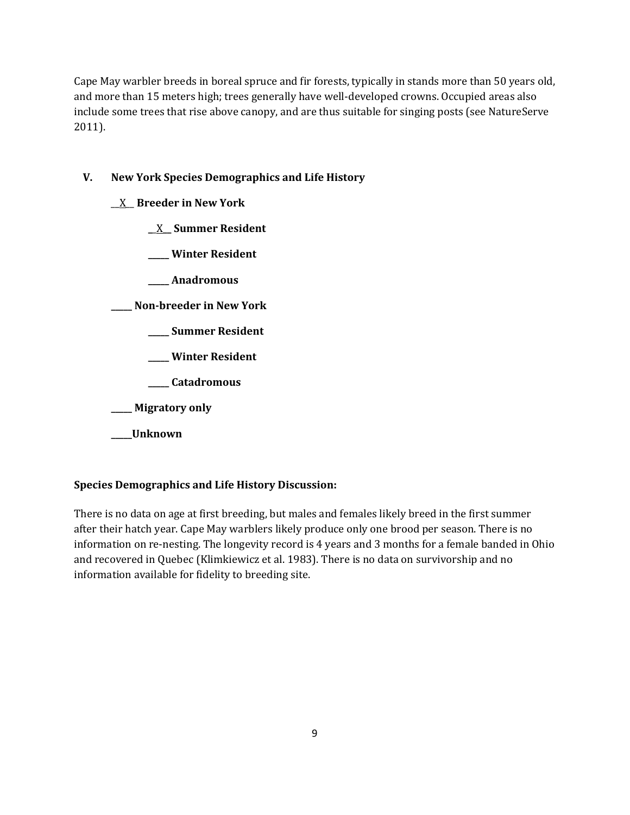Cape May warbler breeds in boreal spruce and fir forests, typically in stands more than 50 years old, and more than 15 meters high; trees generally have well-developed crowns. Occupied areas also include some trees that rise above canopy, and are thus suitable for singing posts (see NatureServe 2011).

# **V. New York Species Demographics and Life History**

- \_\_X\_\_ **Breeder in New York**
	- **\_**\_X**\_\_ Summer Resident**
	- **\_\_\_\_\_ Winter Resident**
	- **\_\_\_\_\_ Anadromous**

**\_\_\_\_\_ Non-breeder in New York**

- **\_\_\_\_\_ Summer Resident**
- **\_\_\_\_\_ Winter Resident**
- **\_\_\_\_\_ Catadromous**
- **\_\_\_\_\_ Migratory only**
- **\_\_\_\_\_Unknown**

# **Species Demographics and Life History Discussion:**

There is no data on age at first breeding, but males and females likely breed in the first summer after their hatch year. Cape May warblers likely produce only one brood per season. There is no information on re-nesting. The longevity record is 4 years and 3 months for a female banded in Ohio and recovered in Quebec (Klimkiewicz et al. 1983). There is no data on survivorship and no information available for fidelity to breeding site.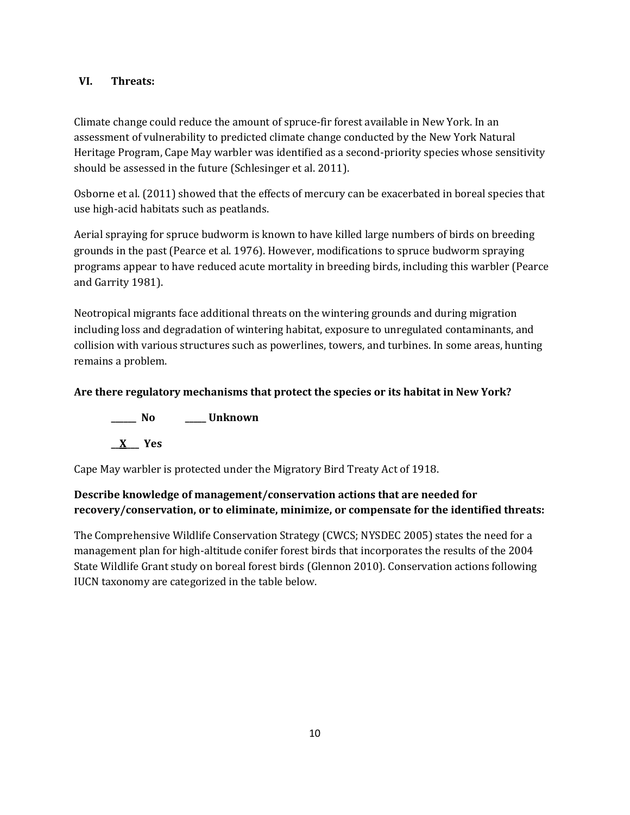# **VI. Threats:**

Climate change could reduce the amount of spruce-fir forest available in New York. In an assessment of vulnerability to predicted climate change conducted by the New York Natural Heritage Program, Cape May warbler was identified as a second-priority species whose sensitivity should be assessed in the future (Schlesinger et al. 2011).

Osborne et al. (2011) showed that the effects of mercury can be exacerbated in boreal species that use high-acid habitats such as peatlands.

Aerial spraying for spruce budworm is known to have killed large numbers of birds on breeding grounds in the past (Pearce et al. 1976). However, modifications to spruce budworm spraying programs appear to have reduced acute mortality in breeding birds, including this warbler (Pearce and Garrity 1981).

Neotropical migrants face additional threats on the wintering grounds and during migration including loss and degradation of wintering habitat, exposure to unregulated contaminants, and collision with various structures such as powerlines, towers, and turbines. In some areas, hunting remains a problem.

# **Are there regulatory mechanisms that protect the species or its habitat in New York?**

**\_\_\_\_\_\_ No \_\_\_\_\_ Unknown \_\_X\_\_\_ Yes** 

Cape May warbler is protected under the Migratory Bird Treaty Act of 1918.

# **Describe knowledge of management/conservation actions that are needed for recovery/conservation, or to eliminate, minimize, or compensate for the identified threats:**

The Comprehensive Wildlife Conservation Strategy (CWCS; NYSDEC 2005) states the need for a management plan for high-altitude conifer forest birds that incorporates the results of the 2004 State Wildlife Grant study on boreal forest birds (Glennon 2010). Conservation actions following IUCN taxonomy are categorized in the table below.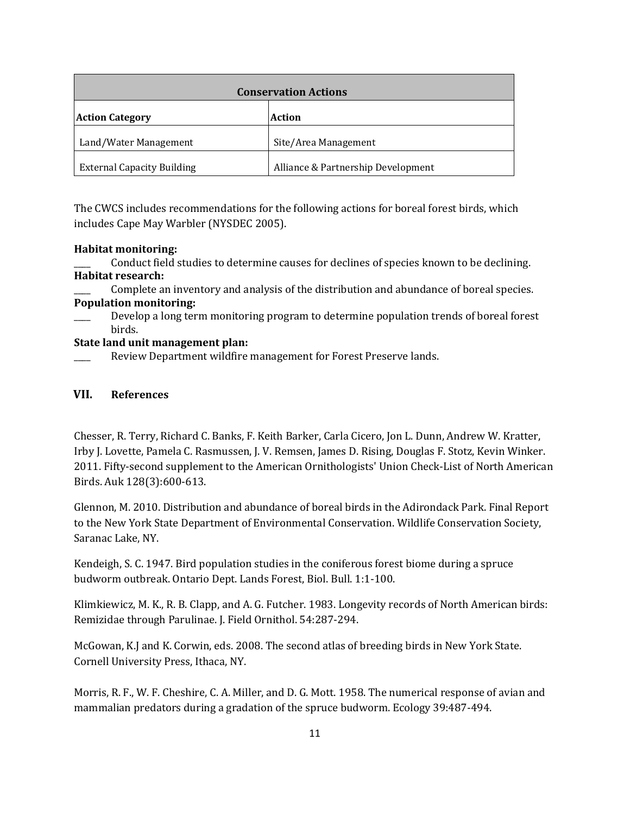| <b>Conservation Actions</b>       |                                    |  |
|-----------------------------------|------------------------------------|--|
| <b>Action Category</b>            | <b>Action</b>                      |  |
| Land/Water Management             | Site/Area Management               |  |
| <b>External Capacity Building</b> | Alliance & Partnership Development |  |

The CWCS includes recommendations for the following actions for boreal forest birds, which includes Cape May Warbler (NYSDEC 2005).

## **Habitat monitoring:**

\_\_\_\_ Conduct field studies to determine causes for declines of species known to be declining. **Habitat research:**

Complete an inventory and analysis of the distribution and abundance of boreal species. **Population monitoring:**

Develop a long term monitoring program to determine population trends of boreal forest birds.

## **State land unit management plan:**

Review Department wildfire management for Forest Preserve lands.

## **VII. References**

Chesser, R. Terry, Richard C. Banks, F. Keith Barker, Carla Cicero, Jon L. Dunn, Andrew W. Kratter, Irby J. Lovette, Pamela C. Rasmussen, J. V. Remsen, James D. Rising, Douglas F. Stotz, Kevin Winker. 2011. Fifty-second supplement to the American Ornithologists' Union Check-List of North American Birds. Auk 128(3):600-613.

Glennon, M. 2010. Distribution and abundance of boreal birds in the Adirondack Park. Final Report to the New York State Department of Environmental Conservation. Wildlife Conservation Society, Saranac Lake, NY.

Kendeigh, S. C. 1947. Bird population studies in the coniferous forest biome during a spruce budworm outbreak. Ontario Dept. Lands Forest, Biol. Bull. 1:1-100.

Klimkiewicz, M. K., R. B. Clapp, and A. G. Futcher. 1983. Longevity records of North American birds: Remizidae through Parulinae. J. Field Ornithol. 54:287-294.

McGowan, K.J and K. Corwin, eds. 2008. The second atlas of breeding birds in New York State. Cornell University Press, Ithaca, NY.

Morris, R. F., W. F. Cheshire, C. A. Miller, and D. G. Mott. 1958. The numerical response of avian and mammalian predators during a gradation of the spruce budworm. Ecology 39:487-494.